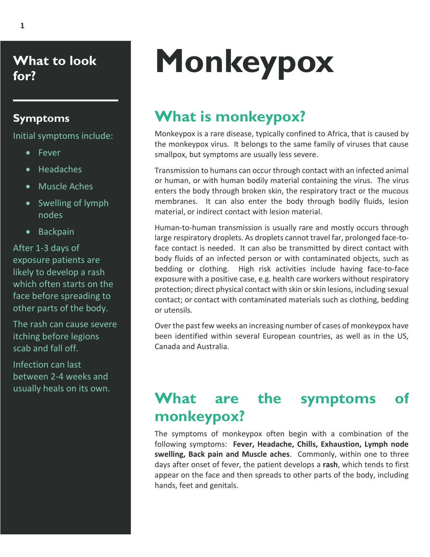**What to look for?**

#### **Symptoms**

Initial symptoms include:

- Fever
- Headaches
- Muscle Aches
- Swelling of lymph nodes
- Backpain

After 1-3 days of exposure patients are likely to develop a rash which often starts on the face before spreading to other parts of the body.

The rash can cause severe itching before legions scab and fall off.

Infection can last between 2-4 weeks and usually heals on its own.

# **Monkeypox**

# **What is monkeypox?**

Monkeypox is a rare disease, typically confined to Africa, that is caused by the monkeypox virus. It belongs to the same family of viruses that cause smallpox, but symptoms are usually less severe.

Transmission to humans can occur through contact with an infected animal or human, or with human bodily material containing the virus. The virus enters the body through broken skin, the respiratory tract or the mucous membranes. It can also enter the body through bodily fluids, lesion material, or indirect contact with lesion material.

Human-to-human transmission is usually rare and mostly occurs through large respiratory droplets. As droplets cannot travel far, prolonged face-toface contact is needed. It can also be transmitted by direct contact with body fluids of an infected person or with contaminated objects, such as bedding or clothing. High risk activities include having face-to-face exposure with a positive case, e.g. health care workers without respiratory protection; direct physical contact with skin or skin lesions, including sexual contact; or contact with contaminated materials such as clothing, bedding or utensils.

Over the past few weeks an increasing number of cases of monkeypox have been identified within several European countries, as well as in the US, Canada and Australia.

## **What are the symptoms of monkeypox?**

The symptoms of monkeypox often begin with a combination of the following symptoms: **Fever, Headache, Chills, Exhaustion, Lymph node swelling, Back pain and Muscle aches**. Commonly, within one to three days after onset of fever, the patient develops a **rash**, which tends to first appear on the face and then spreads to other parts of the body, including hands, feet and genitals.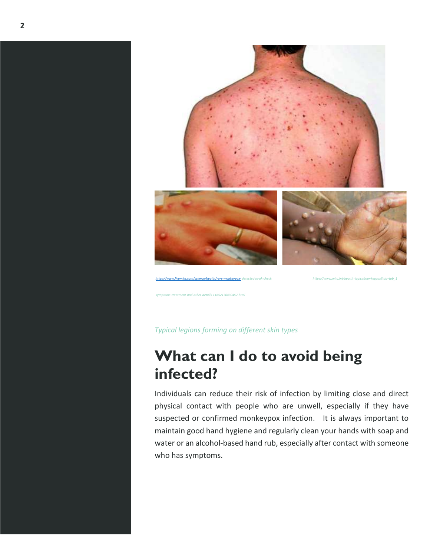

*Typical legions forming on different skin types*

*-symptoms-treatment-and-other-details-11652176430457.html* 

### **What can I do to avoid being infected?**

Individuals can reduce their risk of infection by limiting close and direct physical contact with people who are unwell, especially if they have suspected or confirmed monkeypox infection. It is always important to maintain good hand hygiene and regularly clean your hands with soap and water or an alcohol-based hand rub, especially after contact with someone who has symptoms.